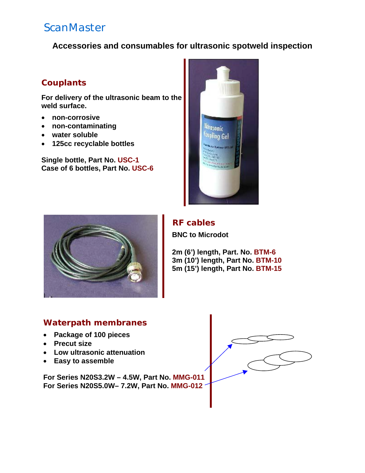# **ScanMaster**

**Accessories and consumables for ultrasonic spotweld inspection** 

### **Couplants**

**For delivery of the ultrasonic beam to the weld surface.** 

- **non-corrosive**
- **non-contaminating**
- **water soluble**
- **125cc recyclable bottles**

**Single bottle, Part No. USC-1 Case of 6 bottles, Part No. USC-6**





### **RF cables**

**BNC to Microdot** 

 **2m (6') length, Part. No. BTM-6 3m (10') length, Part No. BTM-10 5m (15') length, Part No. BTM-15**

### **Waterpath membranes**

- **Package of 100 pieces**
- **Precut size**
- **Low ultrasonic attenuation**
- **Easy to assemble**

**For Series N20S3.2W – 4.5W, Part No. MMG-011 For Series N20S5.0W– 7.2W, Part No. MMG-012**